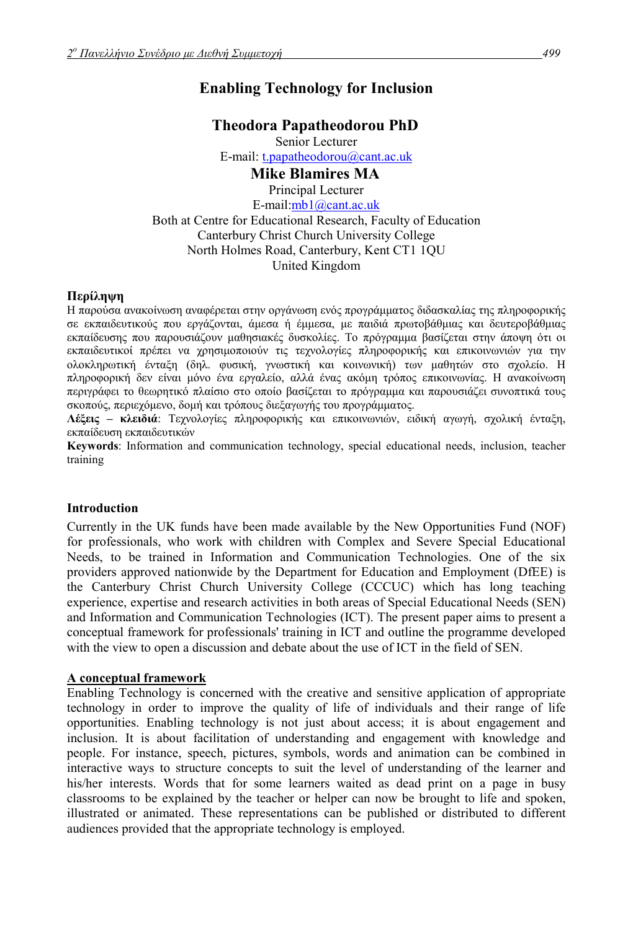# **Enabling Technology for Inclusion**

# **Theodora Papatheodorou PhD**

Senior Lecturer E-mail: t.papatheodorou@cant.ac.uk **Mike Blamires MA** 

Principal Lecturer E-mail:mb1@cant.ac.uk Both at Centre for Educational Research, Faculty of Education Canterbury Christ Church University College North Holmes Road, Canterbury, Kent CT1 1QU United Kingdom

# **Περίληψη**

Η παρούσα ανακοίνωση αναφέρεται στην οργάνωση ενός προγράµµατος διδασκαλίας της πληροφορικής σε εκπαιδευτικούς που εργάζονται, άµεσα ή έµµεσα, µε παιδιά πρωτοβάθµιας και δευτεροβάθµιας εκπαίδευσης που παρουσιάζουν µαθησιακές δυσκολίες. Το πρόγραµµα βασίζεται στην άποψη ότι οι εκπαιδευτικοί πρέπει να χρησιµοποιούν τις τεχνολογίες πληροφορικής και επικοινωνιών για την ολοκληρωτική ένταξη (δηλ. φυσική, γνωστική και κοινωνική) των µαθητών στο σχολείο. Η πληροφορική δεν είναι µόνο ένα εργαλείο, αλλά ένας ακόµη τρόπος επικοινωνίας. Η ανακοίνωση περιγράφει το θεωρητικό πλαίσιο στο οποίο βασίζεται το πρόγραµµα και παρουσιάζει συνοπτικά τους σκοπούς, περιεχόµενο, δοµή και τρόπους διεξαγωγής του προγράµµατος.

**Λέξεις ñ κλειδιά**: Tεχνολογίες πληροφορικής και επικοινωνιών, ειδική αγωγή, σχολική ένταξη, εκπαίδευση εκπαιδευτικών

**Keywords**: Ιnformation and communication technology, special educational needs, inclusion, teacher training

#### **Introduction**

Currently in the UK funds have been made available by the New Opportunities Fund (NOF) for professionals, who work with children with Complex and Severe Special Educational Needs, to be trained in Information and Communication Technologies. One of the six providers approved nationwide by the Department for Education and Employment (DfEE) is the Canterbury Christ Church University College (CCCUC) which has long teaching experience, expertise and research activities in both areas of Special Educational Needs (SEN) and Information and Communication Technologies (ICT). The present paper aims to present a conceptual framework for professionals' training in ICT and outline the programme developed with the view to open a discussion and debate about the use of ICT in the field of SEN.

#### **A conceptual framework**

Enabling Technology is concerned with the creative and sensitive application of appropriate technology in order to improve the quality of life of individuals and their range of life opportunities. Enabling technology is not just about access; it is about engagement and inclusion. It is about facilitation of understanding and engagement with knowledge and people. For instance, speech, pictures, symbols, words and animation can be combined in interactive ways to structure concepts to suit the level of understanding of the learner and his/her interests. Words that for some learners waited as dead print on a page in busy classrooms to be explained by the teacher or helper can now be brought to life and spoken, illustrated or animated. These representations can be published or distributed to different audiences provided that the appropriate technology is employed.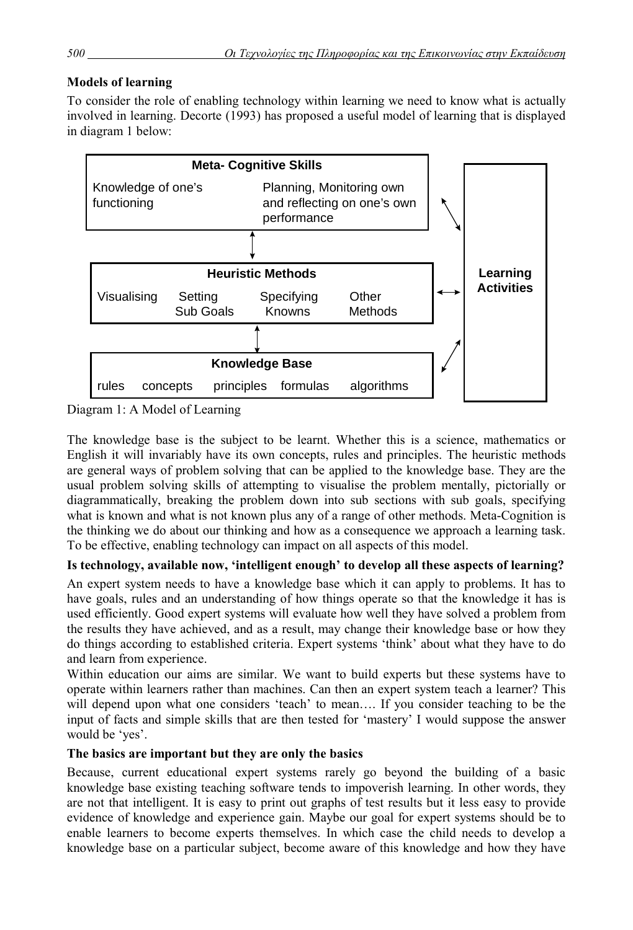# **Models of learning**

To consider the role of enabling technology within learning we need to know what is actually involved in learning. Decorte (1993) has proposed a useful model of learning that is displayed in diagram 1 below:



Diagram 1: A Model of Learning

The knowledge base is the subject to be learnt. Whether this is a science, mathematics or English it will invariably have its own concepts, rules and principles. The heuristic methods are general ways of problem solving that can be applied to the knowledge base. They are the usual problem solving skills of attempting to visualise the problem mentally, pictorially or diagrammatically, breaking the problem down into sub sections with sub goals, specifying what is known and what is not known plus any of a range of other methods. Meta-Cognition is the thinking we do about our thinking and how as a consequence we approach a learning task. To be effective, enabling technology can impact on all aspects of this model.

# Is technology, available now, 'intelligent enough' to develop all these aspects of learning?

An expert system needs to have a knowledge base which it can apply to problems. It has to have goals, rules and an understanding of how things operate so that the knowledge it has is used efficiently. Good expert systems will evaluate how well they have solved a problem from the results they have achieved, and as a result, may change their knowledge base or how they do things according to established criteria. Expert systems 'think' about what they have to do and learn from experience.

Within education our aims are similar. We want to build experts but these systems have to operate within learners rather than machines. Can then an expert system teach a learner? This will depend upon what one considers 'teach' to mean.... If you consider teaching to be the input of facts and simple skills that are then tested for 'mastery' I would suppose the answer would be 'ves'.

# **The basics are important but they are only the basics**

Because, current educational expert systems rarely go beyond the building of a basic knowledge base existing teaching software tends to impoverish learning. In other words, they are not that intelligent. It is easy to print out graphs of test results but it less easy to provide evidence of knowledge and experience gain. Maybe our goal for expert systems should be to enable learners to become experts themselves. In which case the child needs to develop a knowledge base on a particular subject, become aware of this knowledge and how they have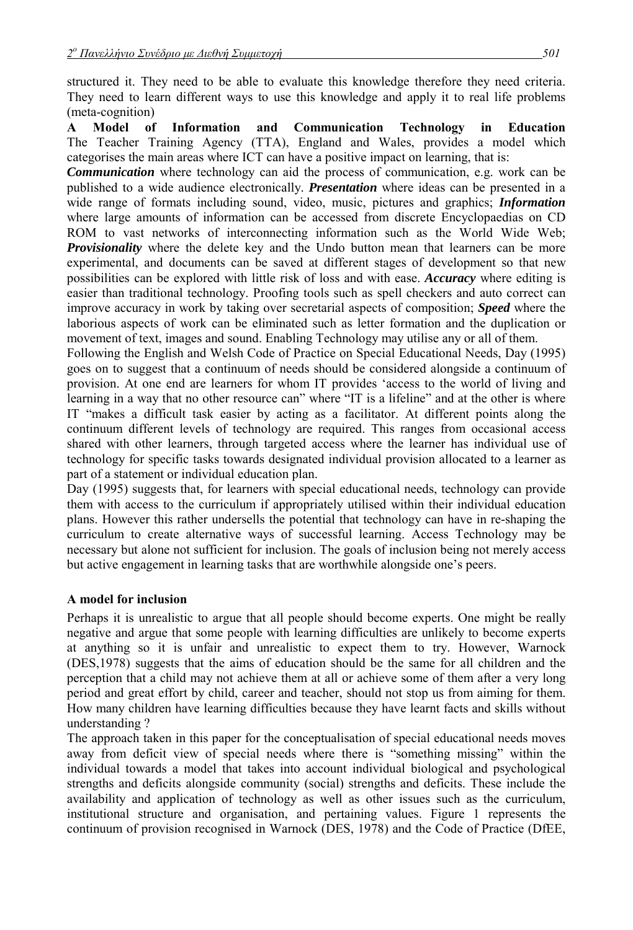structured it. They need to be able to evaluate this knowledge therefore they need criteria. They need to learn different ways to use this knowledge and apply it to real life problems (meta-cognition)

**A Model of Information and Communication Technology in Education** The Teacher Training Agency (TTA), England and Wales, provides a model which categorises the main areas where ICT can have a positive impact on learning, that is:

*Communication* where technology can aid the process of communication, e.g. work can be published to a wide audience electronically. *Presentation* where ideas can be presented in a wide range of formats including sound, video, music, pictures and graphics; *Information* where large amounts of information can be accessed from discrete Encyclopaedias on CD ROM to vast networks of interconnecting information such as the World Wide Web; *Provisionality* where the delete key and the Undo button mean that learners can be more experimental, and documents can be saved at different stages of development so that new possibilities can be explored with little risk of loss and with ease. *Accuracy* where editing is easier than traditional technology. Proofing tools such as spell checkers and auto correct can improve accuracy in work by taking over secretarial aspects of composition; *Speed* where the laborious aspects of work can be eliminated such as letter formation and the duplication or movement of text, images and sound. Enabling Technology may utilise any or all of them.

Following the English and Welsh Code of Practice on Special Educational Needs, Day (1995) goes on to suggest that a continuum of needs should be considered alongside a continuum of provision. At one end are learners for whom IT provides ëaccess to the world of living and learning in a way that no other resource can" where  $\Gamma$  is a lifeline" and at the other is where IT "makes a difficult task easier by acting as a facilitator. At different points along the continuum different levels of technology are required. This ranges from occasional access shared with other learners, through targeted access where the learner has individual use of technology for specific tasks towards designated individual provision allocated to a learner as part of a statement or individual education plan.

Day (1995) suggests that, for learners with special educational needs, technology can provide them with access to the curriculum if appropriately utilised within their individual education plans. However this rather undersells the potential that technology can have in re-shaping the curriculum to create alternative ways of successful learning. Access Technology may be necessary but alone not sufficient for inclusion. The goals of inclusion being not merely access but active engagement in learning tasks that are worthwhile alongside one's peers.

# **A model for inclusion**

Perhaps it is unrealistic to argue that all people should become experts. One might be really negative and argue that some people with learning difficulties are unlikely to become experts at anything so it is unfair and unrealistic to expect them to try. However, Warnock (DES,1978) suggests that the aims of education should be the same for all children and the perception that a child may not achieve them at all or achieve some of them after a very long period and great effort by child, career and teacher, should not stop us from aiming for them. How many children have learning difficulties because they have learnt facts and skills without understanding ?

The approach taken in this paper for the conceptualisation of special educational needs moves away from deficit view of special needs where there is "something missing" within the individual towards a model that takes into account individual biological and psychological strengths and deficits alongside community (social) strengths and deficits. These include the availability and application of technology as well as other issues such as the curriculum, institutional structure and organisation, and pertaining values. Figure 1 represents the continuum of provision recognised in Warnock (DES, 1978) and the Code of Practice (DfEE,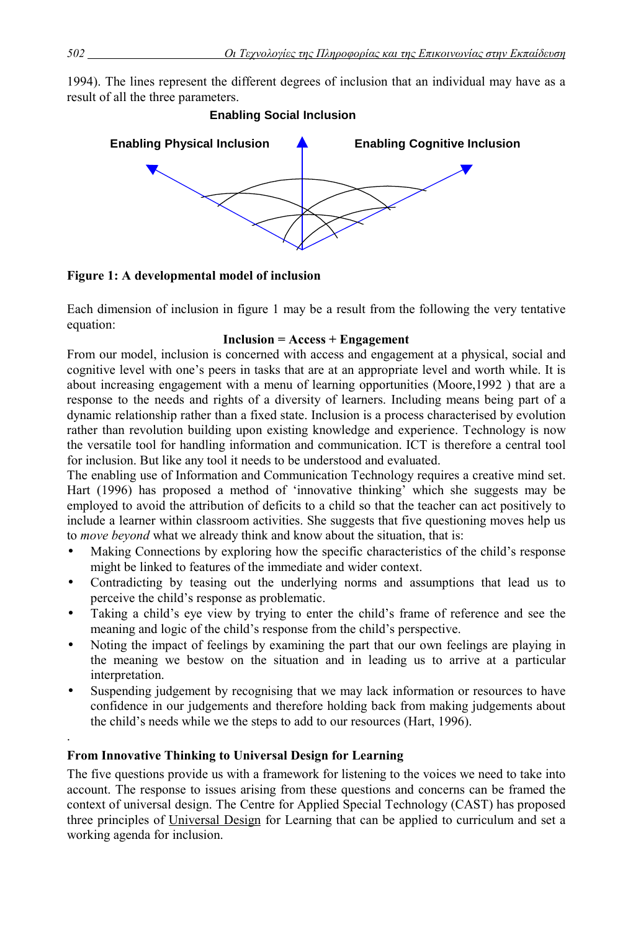1994). The lines represent the different degrees of inclusion that an individual may have as a result of all the three parameters.



**Figure 1: A developmental model of inclusion**

Each dimension of inclusion in figure 1 may be a result from the following the very tentative equation:

#### **Inclusion = Access + Engagement**

From our model, inclusion is concerned with access and engagement at a physical, social and cognitive level with one's peers in tasks that are at an appropriate level and worth while. It is about increasing engagement with a menu of learning opportunities (Moore,1992 ) that are a response to the needs and rights of a diversity of learners. Including means being part of a dynamic relationship rather than a fixed state. Inclusion is a process characterised by evolution rather than revolution building upon existing knowledge and experience. Technology is now the versatile tool for handling information and communication. ICT is therefore a central tool for inclusion. But like any tool it needs to be understood and evaluated.

The enabling use of Information and Communication Technology requires a creative mind set. Hart (1996) has proposed a method of 'innovative thinking' which she suggests may be employed to avoid the attribution of deficits to a child so that the teacher can act positively to include a learner within classroom activities. She suggests that five questioning moves help us to *move beyond* what we already think and know about the situation, that is:

- Making Connections by exploring how the specific characteristics of the child's response might be linked to features of the immediate and wider context.
- Contradicting by teasing out the underlying norms and assumptions that lead us to perceive the child's response as problematic.
- Taking a child's eye view by trying to enter the child's frame of reference and see the meaning and logic of the child's response from the child's perspective.
- Noting the impact of feelings by examining the part that our own feelings are playing in the meaning we bestow on the situation and in leading us to arrive at a particular interpretation.
- Suspending judgement by recognising that we may lack information or resources to have confidence in our judgements and therefore holding back from making judgements about the child's needs while we the steps to add to our resources (Hart, 1996).

# **From Innovative Thinking to Universal Design for Learning**

The five questions provide us with a framework for listening to the voices we need to take into account. The response to issues arising from these questions and concerns can be framed the context of universal design. The Centre for Applied Special Technology (CAST) has proposed three principles of Universal Design for Learning that can be applied to curriculum and set a working agenda for inclusion.

.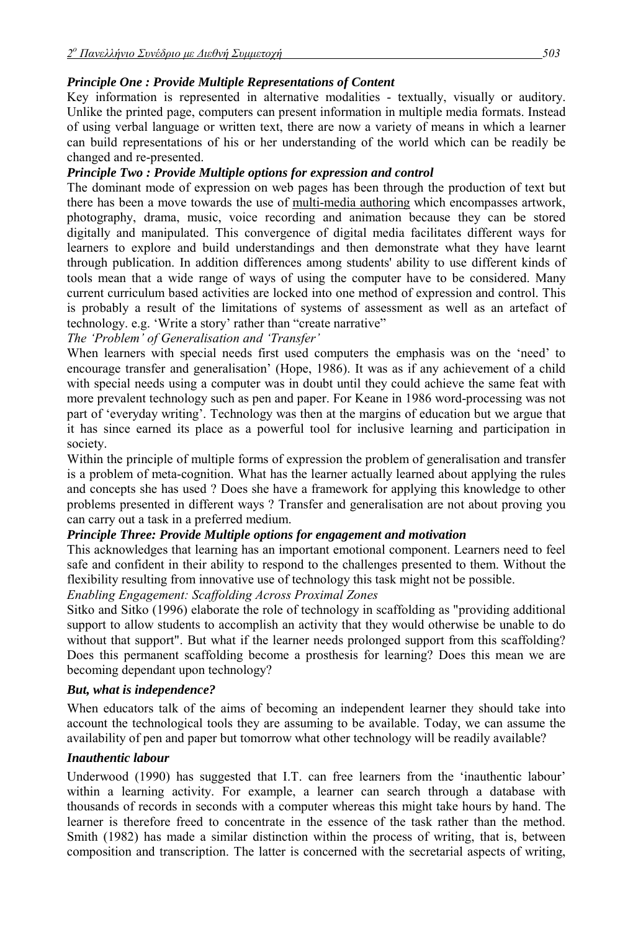### *Principle One : Provide Multiple Representations of Content*

Key information is represented in alternative modalities - textually, visually or auditory. Unlike the printed page, computers can present information in multiple media formats. Instead of using verbal language or written text, there are now a variety of means in which a learner can build representations of his or her understanding of the world which can be readily be changed and re-presented.

### *Principle Two : Provide Multiple options for expression and control*

The dominant mode of expression on web pages has been through the production of text but there has been a move towards the use of multi-media authoring which encompasses artwork, photography, drama, music, voice recording and animation because they can be stored digitally and manipulated. This convergence of digital media facilitates different ways for learners to explore and build understandings and then demonstrate what they have learnt through publication. In addition differences among students' ability to use different kinds of tools mean that a wide range of ways of using the computer have to be considered. Many current curriculum based activities are locked into one method of expression and control. This is probably a result of the limitations of systems of assessment as well as an artefact of technology. e.g. 'Write a story' rather than "create narrative"

*The ëProblemí of Generalisation and ëTransferí* 

When learners with special needs first used computers the emphasis was on the 'need' to encourage transfer and generalisation' (Hope, 1986). It was as if any achievement of a child with special needs using a computer was in doubt until they could achieve the same feat with more prevalent technology such as pen and paper. For Keane in 1986 word-processing was not part of 'everyday writing'. Technology was then at the margins of education but we argue that it has since earned its place as a powerful tool for inclusive learning and participation in society.

Within the principle of multiple forms of expression the problem of generalisation and transfer is a problem of meta-cognition. What has the learner actually learned about applying the rules and concepts she has used ? Does she have a framework for applying this knowledge to other problems presented in different ways ? Transfer and generalisation are not about proving you can carry out a task in a preferred medium.

# *Principle Three: Provide Multiple options for engagement and motivation*

This acknowledges that learning has an important emotional component. Learners need to feel safe and confident in their ability to respond to the challenges presented to them. Without the flexibility resulting from innovative use of technology this task might not be possible.

*Enabling Engagement: Scaffolding Across Proximal Zones* 

Sitko and Sitko (1996) elaborate the role of technology in scaffolding as "providing additional support to allow students to accomplish an activity that they would otherwise be unable to do without that support". But what if the learner needs prolonged support from this scaffolding? Does this permanent scaffolding become a prosthesis for learning? Does this mean we are becoming dependant upon technology?

#### *But, what is independence?*

When educators talk of the aims of becoming an independent learner they should take into account the technological tools they are assuming to be available. Today, we can assume the availability of pen and paper but tomorrow what other technology will be readily available?

# *Inauthentic labour*

Underwood (1990) has suggested that I.T. can free learners from the 'inauthentic labour' within a learning activity. For example, a learner can search through a database with thousands of records in seconds with a computer whereas this might take hours by hand. The learner is therefore freed to concentrate in the essence of the task rather than the method. Smith (1982) has made a similar distinction within the process of writing, that is, between composition and transcription. The latter is concerned with the secretarial aspects of writing,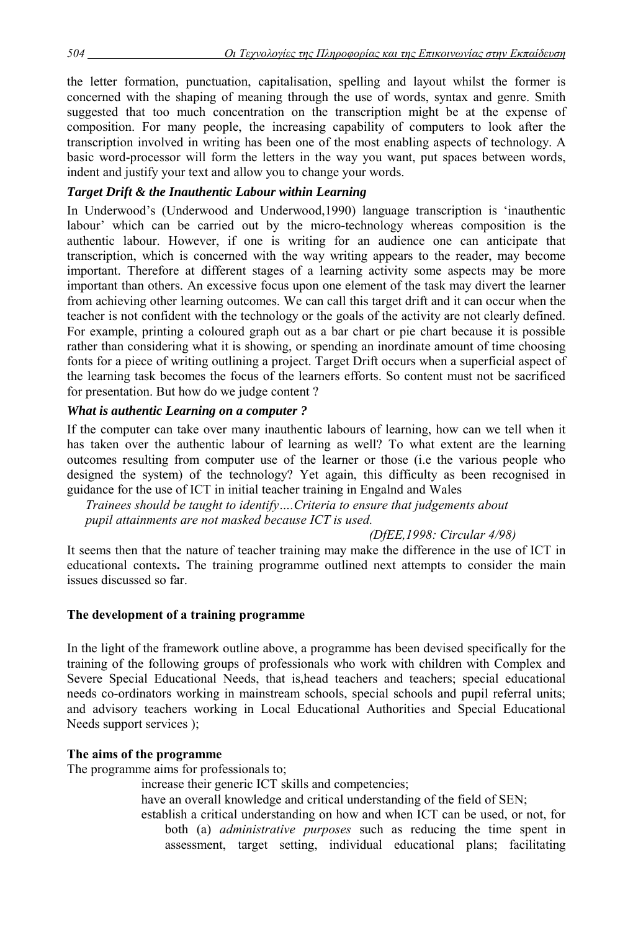the letter formation, punctuation, capitalisation, spelling and layout whilst the former is concerned with the shaping of meaning through the use of words, syntax and genre. Smith suggested that too much concentration on the transcription might be at the expense of composition. For many people, the increasing capability of computers to look after the transcription involved in writing has been one of the most enabling aspects of technology. A basic word-processor will form the letters in the way you want, put spaces between words, indent and justify your text and allow you to change your words.

# *Target Drift & the Inauthentic Labour within Learning*

In Underwoodís (Underwood and Underwood,1990) language transcription is ëinauthentic labour' which can be carried out by the micro-technology whereas composition is the authentic labour. However, if one is writing for an audience one can anticipate that transcription, which is concerned with the way writing appears to the reader, may become important. Therefore at different stages of a learning activity some aspects may be more important than others. An excessive focus upon one element of the task may divert the learner from achieving other learning outcomes. We can call this target drift and it can occur when the teacher is not confident with the technology or the goals of the activity are not clearly defined. For example, printing a coloured graph out as a bar chart or pie chart because it is possible rather than considering what it is showing, or spending an inordinate amount of time choosing fonts for a piece of writing outlining a project. Target Drift occurs when a superficial aspect of the learning task becomes the focus of the learners efforts. So content must not be sacrificed for presentation. But how do we judge content ?

# *What is authentic Learning on a computer ?*

If the computer can take over many inauthentic labours of learning, how can we tell when it has taken over the authentic labour of learning as well? To what extent are the learning outcomes resulting from computer use of the learner or those (i.e the various people who designed the system) of the technology? Yet again, this difficulty as been recognised in guidance for the use of ICT in initial teacher training in Engalnd and Wales

*Trainees should be taught to identify* .... *Criteria to ensure that judgements about pupil attainments are not masked because ICT is used.* 

#### *(DfEE,1998: Circular 4/98)*

It seems then that the nature of teacher training may make the difference in the use of ICT in educational contexts**.** The training programme outlined next attempts to consider the main issues discussed so far.

# **The development of a training programme**

In the light of the framework outline above, a programme has been devised specifically for the training of the following groups of professionals who work with children with Complex and Severe Special Educational Needs, that is,head teachers and teachers; special educational needs co-ordinators working in mainstream schools, special schools and pupil referral units; and advisory teachers working in Local Educational Authorities and Special Educational Needs support services );

#### **The aims of the programme**

The programme aims for professionals to;

increase their generic ICT skills and competencies;

have an overall knowledge and critical understanding of the field of SEN;

establish a critical understanding on how and when ICT can be used, or not, for both (a) *administrative purposes* such as reducing the time spent in assessment, target setting, individual educational plans; facilitating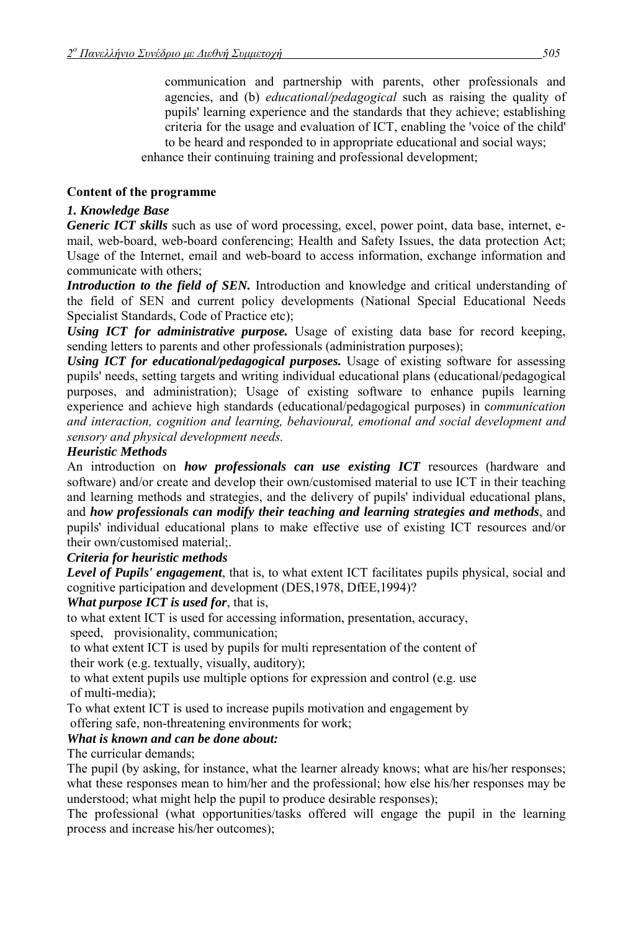communication and partnership with parents, other professionals and agencies, and (b) *educational/pedagogical* such as raising the quality of pupils' learning experience and the standards that they achieve; establishing criteria for the usage and evaluation of ICT, enabling the 'voice of the child' to be heard and responded to in appropriate educational and social ways;

enhance their continuing training and professional development;

#### **Content of the programme**

#### *1. Knowledge Base*

*Generic ICT skills* such as use of word processing, excel, power point, data base, internet, email, web-board, web-board conferencing; Health and Safety Issues, the data protection Act; Usage of the Internet, email and web-board to access information, exchange information and communicate with others;

*Introduction to the field of SEN.* Introduction and knowledge and critical understanding of the field of SEN and current policy developments (National Special Educational Needs Specialist Standards, Code of Practice etc);

*Using ICT for administrative purpose.* Usage of existing data base for record keeping, sending letters to parents and other professionals (administration purposes);

*Using ICT for educational/pedagogical purposes.* Usage of existing software for assessing pupils' needs, setting targets and writing individual educational plans (educational/pedagogical purposes, and administration); Usage of existing software to enhance pupils learning experience and achieve high standards (educational/pedagogical purposes) in c*ommunication and interaction, cognition and learning, behavioural, emotional and social development and sensory and physical development needs.* 

#### *Heuristic Methods*

An introduction on *how professionals can use existing ICT* resources (hardware and software) and/or create and develop their own/customised material to use ICT in their teaching and learning methods and strategies, and the delivery of pupils' individual educational plans, and *how professionals can modify their teaching and learning strategies and methods*, and pupils' individual educational plans to make effective use of existing ICT resources and/or their own/customised material;.

#### *Criteria for heuristic methods*

*Level of Pupils' engagement*, that is, to what extent ICT facilitates pupils physical, social and cognitive participation and development (DES,1978, DfEE,1994)?

#### *What purpose ICT is used for*, that is,

to what extent ICT is used for accessing information, presentation, accuracy, speed, provisionality, communication;

 to what extent ICT is used by pupils for multi representation of the content of their work (e.g. textually, visually, auditory);

 to what extent pupils use multiple options for expression and control (e.g. use of multi-media);

To what extent ICT is used to increase pupils motivation and engagement by offering safe, non-threatening environments for work;

#### *What is known and can be done about:*

The curricular demands;

The pupil (by asking, for instance, what the learner already knows; what are his/her responses; what these responses mean to him/her and the professional; how else his/her responses may be understood; what might help the pupil to produce desirable responses);

The professional (what opportunities/tasks offered will engage the pupil in the learning process and increase his/her outcomes);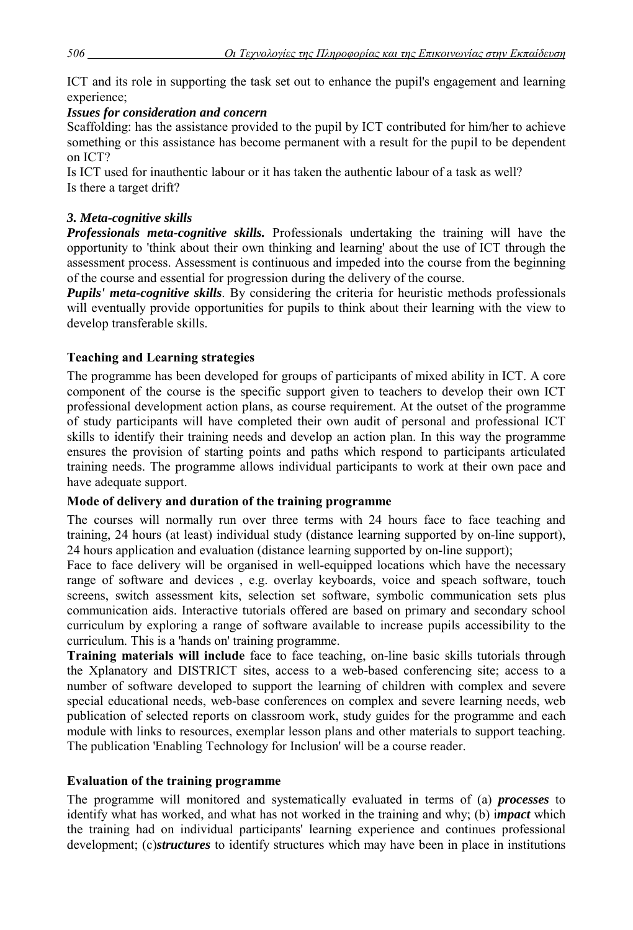ICT and its role in supporting the task set out to enhance the pupil's engagement and learning experience;

# *Issues for consideration and concern*

Scaffolding: has the assistance provided to the pupil by ICT contributed for him/her to achieve something or this assistance has become permanent with a result for the pupil to be dependent on ICT?

Is ICT used for inauthentic labour or it has taken the authentic labour of a task as well? Is there a target drift?

### *3. Meta-cognitive skills*

*Professionals meta-cognitive skills.* Professionals undertaking the training will have the opportunity to 'think about their own thinking and learning' about the use of ICT through the assessment process. Assessment is continuous and impeded into the course from the beginning of the course and essential for progression during the delivery of the course.

*Pupils' meta-cognitive skills*. By considering the criteria for heuristic methods professionals will eventually provide opportunities for pupils to think about their learning with the view to develop transferable skills.

# **Teaching and Learning strategies**

The programme has been developed for groups of participants of mixed ability in ICT. A core component of the course is the specific support given to teachers to develop their own ICT professional development action plans, as course requirement. At the outset of the programme of study participants will have completed their own audit of personal and professional ICT skills to identify their training needs and develop an action plan. In this way the programme ensures the provision of starting points and paths which respond to participants articulated training needs. The programme allows individual participants to work at their own pace and have adequate support.

# **Mode of delivery and duration of the training programme**

The courses will normally run over three terms with 24 hours face to face teaching and training, 24 hours (at least) individual study (distance learning supported by on-line support), 24 hours application and evaluation (distance learning supported by on-line support);

Face to face delivery will be organised in well-equipped locations which have the necessary range of software and devices , e.g. overlay keyboards, voice and speach software, touch screens, switch assessment kits, selection set software, symbolic communication sets plus communication aids. Interactive tutorials offered are based on primary and secondary school curriculum by exploring a range of software available to increase pupils accessibility to the curriculum. This is a 'hands on' training programme.

**Training materials will include** face to face teaching, on-line basic skills tutorials through the Xplanatory and DISTRICT sites, access to a web-based conferencing site; access to a number of software developed to support the learning of children with complex and severe special educational needs, web-base conferences on complex and severe learning needs, web publication of selected reports on classroom work, study guides for the programme and each module with links to resources, exemplar lesson plans and other materials to support teaching. The publication 'Enabling Technology for Inclusion' will be a course reader.

# **Evaluation of the training programme**

The programme will monitored and systematically evaluated in terms of (a) *processes* to identify what has worked, and what has not worked in the training and why; (b) i*mpact* which the training had on individual participants' learning experience and continues professional development; (c)*structures* to identify structures which may have been in place in institutions